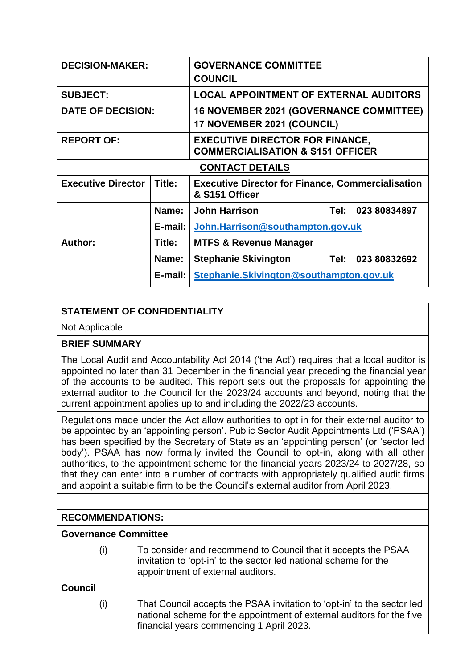| <b>DECISION-MAKER:</b>    |         | <b>GOVERNANCE COMMITTEE</b><br><b>COUNCIL</b>                                         |  |              |  |
|---------------------------|---------|---------------------------------------------------------------------------------------|--|--------------|--|
| <b>SUBJECT:</b>           |         | <b>LOCAL APPOINTMENT OF EXTERNAL AUDITORS</b>                                         |  |              |  |
| <b>DATE OF DECISION:</b>  |         | <b>16 NOVEMBER 2021 (GOVERNANCE COMMITTEE)</b><br>17 NOVEMBER 2021 (COUNCIL)          |  |              |  |
| <b>REPORT OF:</b>         |         | <b>EXECUTIVE DIRECTOR FOR FINANCE,</b><br><b>COMMERCIALISATION &amp; S151 OFFICER</b> |  |              |  |
| <b>CONTACT DETAILS</b>    |         |                                                                                       |  |              |  |
| <b>Executive Director</b> | Title:  | <b>Executive Director for Finance, Commercialisation</b><br>& S151 Officer            |  |              |  |
|                           | Name:   | <b>John Harrison</b><br>Tel:                                                          |  | 023 80834897 |  |
|                           | E-mail: | John.Harrison@southampton.gov.uk                                                      |  |              |  |
| Author:                   | Title:  | <b>MTFS &amp; Revenue Manager</b>                                                     |  |              |  |
|                           | Name:   | <b>Stephanie Skivington</b><br>Tel:<br>023 80832692                                   |  |              |  |
|                           | E-mail: | Stephanie.Skivington@southampton.gov.uk                                               |  |              |  |

## **STATEMENT OF CONFIDENTIALITY**

Not Applicable

**BRIEF SUMMARY**

The Local Audit and Accountability Act 2014 ('the Act') requires that a local auditor is appointed no later than 31 December in the financial year preceding the financial year of the accounts to be audited. This report sets out the proposals for appointing the external auditor to the Council for the 2023/24 accounts and beyond, noting that the current appointment applies up to and including the 2022/23 accounts.

Regulations made under the Act allow authorities to opt in for their external auditor to be appointed by an 'appointing person'. Public Sector Audit Appointments Ltd ('PSAA') has been specified by the Secretary of State as an 'appointing person' (or 'sector led body'). PSAA has now formally invited the Council to opt-in, along with all other authorities, to the appointment scheme for the financial years 2023/24 to 2027/28, so that they can enter into a number of contracts with appropriately qualified audit firms and appoint a suitable firm to be the Council's external auditor from April 2023.

## **RECOMMENDATIONS:**

## **Governance Committee**

|                                                 | (i) | To consider and recommend to Council that it accepts the PSAA<br>invitation to 'opt-in' to the sector led national scheme for the<br>appointment of external auditors. |  |  |
|-------------------------------------------------|-----|------------------------------------------------------------------------------------------------------------------------------------------------------------------------|--|--|
| Council                                         |     |                                                                                                                                                                        |  |  |
| (i)<br>financial years commencing 1 April 2023. |     | That Council accepts the PSAA invitation to 'opt-in' to the sector led<br>national scheme for the appointment of external auditors for the five                        |  |  |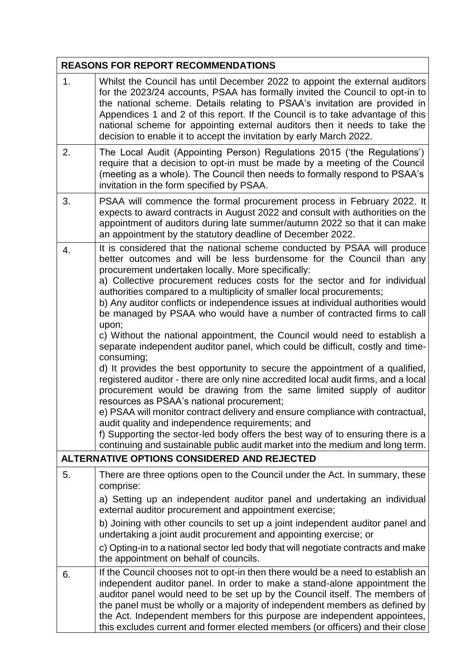|    | <b>REASONS FOR REPORT RECOMMENDATIONS</b>                                                                                                                                                                                                                                                                                                                                                                                                                                                                                                                                                                                                                                                                                                                                                                                                                                                                                                                                                                                                                                                                                                                                                                                                                                                                                                                                    |
|----|------------------------------------------------------------------------------------------------------------------------------------------------------------------------------------------------------------------------------------------------------------------------------------------------------------------------------------------------------------------------------------------------------------------------------------------------------------------------------------------------------------------------------------------------------------------------------------------------------------------------------------------------------------------------------------------------------------------------------------------------------------------------------------------------------------------------------------------------------------------------------------------------------------------------------------------------------------------------------------------------------------------------------------------------------------------------------------------------------------------------------------------------------------------------------------------------------------------------------------------------------------------------------------------------------------------------------------------------------------------------------|
| 1. | Whilst the Council has until December 2022 to appoint the external auditors<br>for the 2023/24 accounts, PSAA has formally invited the Council to opt-in to<br>the national scheme. Details relating to PSAA's invitation are provided in<br>Appendices 1 and 2 of this report. If the Council is to take advantage of this<br>national scheme for appointing external auditors then it needs to take the<br>decision to enable it to accept the invitation by early March 2022.                                                                                                                                                                                                                                                                                                                                                                                                                                                                                                                                                                                                                                                                                                                                                                                                                                                                                             |
| 2. | The Local Audit (Appointing Person) Regulations 2015 ('the Regulations')<br>require that a decision to opt-in must be made by a meeting of the Council<br>(meeting as a whole). The Council then needs to formally respond to PSAA's<br>invitation in the form specified by PSAA.                                                                                                                                                                                                                                                                                                                                                                                                                                                                                                                                                                                                                                                                                                                                                                                                                                                                                                                                                                                                                                                                                            |
| 3. | PSAA will commence the formal procurement process in February 2022. It<br>expects to award contracts in August 2022 and consult with authorities on the<br>appointment of auditors during late summer/autumn 2022 so that it can make<br>an appointment by the statutory deadline of December 2022.                                                                                                                                                                                                                                                                                                                                                                                                                                                                                                                                                                                                                                                                                                                                                                                                                                                                                                                                                                                                                                                                          |
| 4. | It is considered that the national scheme conducted by PSAA will produce<br>better outcomes and will be less burdensome for the Council than any<br>procurement undertaken locally. More specifically:<br>a) Collective procurement reduces costs for the sector and for individual<br>authorities compared to a multiplicity of smaller local procurements;<br>b) Any auditor conflicts or independence issues at individual authorities would<br>be managed by PSAA who would have a number of contracted firms to call<br>upon;<br>c) Without the national appointment, the Council would need to establish a<br>separate independent auditor panel, which could be difficult, costly and time-<br>consuming;<br>d) It provides the best opportunity to secure the appointment of a qualified,<br>registered auditor - there are only nine accredited local audit firms, and a local<br>procurement would be drawing from the same limited supply of auditor<br>resources as PSAA's national procurement;<br>e) PSAA will monitor contract delivery and ensure compliance with contractual,<br>audit quality and independence requirements; and<br>f) Supporting the sector-led body offers the best way of to ensuring there is a<br>continuing and sustainable public audit market into the medium and long term.<br><b>ALTERNATIVE OPTIONS CONSIDERED AND REJECTED</b> |
| 5. | There are three options open to the Council under the Act. In summary, these<br>comprise:<br>a) Setting up an independent auditor panel and undertaking an individual<br>external auditor procurement and appointment exercise;<br>b) Joining with other councils to set up a joint independent auditor panel and<br>undertaking a joint audit procurement and appointing exercise; or<br>c) Opting-in to a national sector led body that will negotiate contracts and make<br>the appointment on behalf of councils.                                                                                                                                                                                                                                                                                                                                                                                                                                                                                                                                                                                                                                                                                                                                                                                                                                                        |
| 6. | If the Council chooses not to opt-in then there would be a need to establish an<br>independent auditor panel. In order to make a stand-alone appointment the<br>auditor panel would need to be set up by the Council itself. The members of<br>the panel must be wholly or a majority of independent members as defined by<br>the Act. Independent members for this purpose are independent appointees,<br>this excludes current and former elected members (or officers) and their close                                                                                                                                                                                                                                                                                                                                                                                                                                                                                                                                                                                                                                                                                                                                                                                                                                                                                    |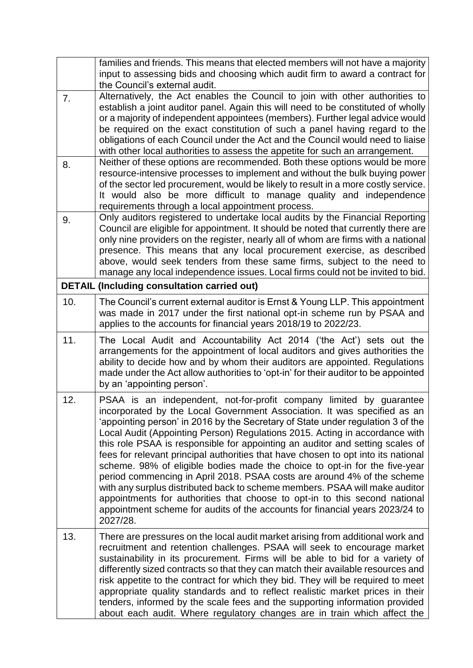|     | families and friends. This means that elected members will not have a majority<br>input to assessing bids and choosing which audit firm to award a contract for                                                                                                                                                                                                                                                                                                                                                                                                                                                                                                                                                                                                                                                                                                                                           |
|-----|-----------------------------------------------------------------------------------------------------------------------------------------------------------------------------------------------------------------------------------------------------------------------------------------------------------------------------------------------------------------------------------------------------------------------------------------------------------------------------------------------------------------------------------------------------------------------------------------------------------------------------------------------------------------------------------------------------------------------------------------------------------------------------------------------------------------------------------------------------------------------------------------------------------|
|     | the Council's external audit.                                                                                                                                                                                                                                                                                                                                                                                                                                                                                                                                                                                                                                                                                                                                                                                                                                                                             |
| 7.  | Alternatively, the Act enables the Council to join with other authorities to<br>establish a joint auditor panel. Again this will need to be constituted of wholly<br>or a majority of independent appointees (members). Further legal advice would<br>be required on the exact constitution of such a panel having regard to the<br>obligations of each Council under the Act and the Council would need to liaise<br>with other local authorities to assess the appetite for such an arrangement.                                                                                                                                                                                                                                                                                                                                                                                                        |
| 8.  | Neither of these options are recommended. Both these options would be more<br>resource-intensive processes to implement and without the bulk buying power<br>of the sector led procurement, would be likely to result in a more costly service.<br>It would also be more difficult to manage quality and independence<br>requirements through a local appointment process.                                                                                                                                                                                                                                                                                                                                                                                                                                                                                                                                |
| 9.  | Only auditors registered to undertake local audits by the Financial Reporting<br>Council are eligible for appointment. It should be noted that currently there are<br>only nine providers on the register, nearly all of whom are firms with a national<br>presence. This means that any local procurement exercise, as described<br>above, would seek tenders from these same firms, subject to the need to<br>manage any local independence issues. Local firms could not be invited to bid.                                                                                                                                                                                                                                                                                                                                                                                                            |
|     | <b>DETAIL (Including consultation carried out)</b>                                                                                                                                                                                                                                                                                                                                                                                                                                                                                                                                                                                                                                                                                                                                                                                                                                                        |
| 10. | The Council's current external auditor is Ernst & Young LLP. This appointment<br>was made in 2017 under the first national opt-in scheme run by PSAA and<br>applies to the accounts for financial years 2018/19 to 2022/23.                                                                                                                                                                                                                                                                                                                                                                                                                                                                                                                                                                                                                                                                               |
| 11. | The Local Audit and Accountability Act 2014 ('the Act') sets out the<br>arrangements for the appointment of local auditors and gives authorities the<br>ability to decide how and by whom their auditors are appointed. Regulations<br>made under the Act allow authorities to 'opt-in' for their auditor to be appointed<br>by an 'appointing person'.                                                                                                                                                                                                                                                                                                                                                                                                                                                                                                                                                   |
| 12. | PSAA is an independent, not-for-profit company limited by guarantee<br>incorporated by the Local Government Association. It was specified as an<br>'appointing person' in 2016 by the Secretary of State under regulation 3 of the<br>Local Audit (Appointing Person) Regulations 2015. Acting in accordance with<br>this role PSAA is responsible for appointing an auditor and setting scales of<br>fees for relevant principal authorities that have chosen to opt into its national<br>scheme. 98% of eligible bodies made the choice to opt-in for the five-year<br>period commencing in April 2018. PSAA costs are around 4% of the scheme<br>with any surplus distributed back to scheme members. PSAA will make auditor<br>appointments for authorities that choose to opt-in to this second national<br>appointment scheme for audits of the accounts for financial years 2023/24 to<br>2027/28. |
| 13. | There are pressures on the local audit market arising from additional work and<br>recruitment and retention challenges. PSAA will seek to encourage market<br>sustainability in its procurement. Firms will be able to bid for a variety of<br>differently sized contracts so that they can match their available resources and<br>risk appetite to the contract for which they bid. They will be required to meet<br>appropriate quality standards and to reflect realistic market prices in their<br>tenders, informed by the scale fees and the supporting information provided<br>about each audit. Where regulatory changes are in train which affect the                                                                                                                                                                                                                                            |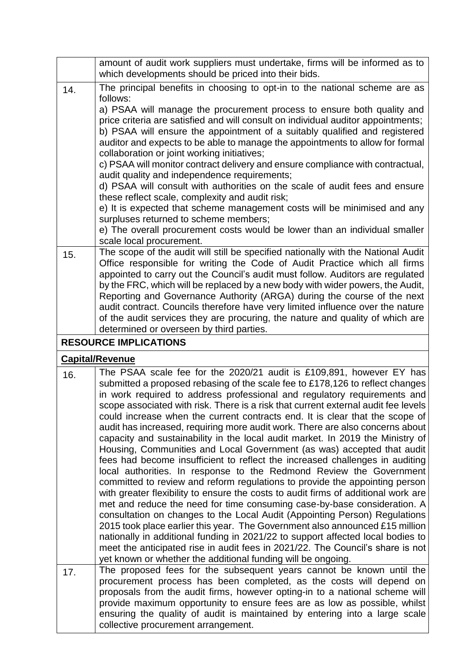|     | amount of audit work suppliers must undertake, firms will be informed as to                                                                                     |
|-----|-----------------------------------------------------------------------------------------------------------------------------------------------------------------|
|     | which developments should be priced into their bids.                                                                                                            |
| 14. | The principal benefits in choosing to opt-in to the national scheme are as<br>follows:                                                                          |
|     | a) PSAA will manage the procurement process to ensure both quality and                                                                                          |
|     | price criteria are satisfied and will consult on individual auditor appointments;                                                                               |
|     | b) PSAA will ensure the appointment of a suitably qualified and registered                                                                                      |
|     | auditor and expects to be able to manage the appointments to allow for formal                                                                                   |
|     | collaboration or joint working initiatives;                                                                                                                     |
|     | c) PSAA will monitor contract delivery and ensure compliance with contractual,                                                                                  |
|     | audit quality and independence requirements;                                                                                                                    |
|     | d) PSAA will consult with authorities on the scale of audit fees and ensure<br>these reflect scale, complexity and audit risk;                                  |
|     | e) It is expected that scheme management costs will be minimised and any                                                                                        |
|     | surpluses returned to scheme members;                                                                                                                           |
|     | e) The overall procurement costs would be lower than an individual smaller                                                                                      |
|     | scale local procurement.                                                                                                                                        |
| 15. | The scope of the audit will still be specified nationally with the National Audit                                                                               |
|     | Office responsible for writing the Code of Audit Practice which all firms                                                                                       |
|     | appointed to carry out the Council's audit must follow. Auditors are regulated                                                                                  |
|     | by the FRC, which will be replaced by a new body with wider powers, the Audit,                                                                                  |
|     | Reporting and Governance Authority (ARGA) during the course of the next                                                                                         |
|     | audit contract. Councils therefore have very limited influence over the nature<br>of the audit services they are procuring, the nature and quality of which are |
|     | determined or overseen by third parties.                                                                                                                        |
|     | <b>RESOURCE IMPLICATIONS</b>                                                                                                                                    |
|     |                                                                                                                                                                 |
|     |                                                                                                                                                                 |
|     | <b>Capital/Revenue</b>                                                                                                                                          |
| 16. | The PSAA scale fee for the 2020/21 audit is £109,891, however EY has                                                                                            |
|     | submitted a proposed rebasing of the scale fee to £178,126 to reflect changes                                                                                   |
|     | in work required to address professional and regulatory requirements and<br>scope associated with risk. There is a risk that current external audit fee levels  |
|     | could increase when the current contracts end. It is clear that the scope of                                                                                    |
|     | audit has increased, requiring more audit work. There are also concerns about                                                                                   |
|     | capacity and sustainability in the local audit market. In 2019 the Ministry of                                                                                  |
|     | Housing, Communities and Local Government (as was) accepted that audit                                                                                          |
|     | fees had become insufficient to reflect the increased challenges in auditing                                                                                    |
|     | local authorities. In response to the Redmond Review the Government                                                                                             |
|     | committed to review and reform regulations to provide the appointing person                                                                                     |
|     | with greater flexibility to ensure the costs to audit firms of additional work are                                                                              |
|     | met and reduce the need for time consuming case-by-base consideration. A<br>consultation on changes to the Local Audit (Appointing Person) Regulations          |
|     | 2015 took place earlier this year. The Government also announced £15 million                                                                                    |
|     | nationally in additional funding in 2021/22 to support affected local bodies to                                                                                 |
|     | meet the anticipated rise in audit fees in 2021/22. The Council's share is not                                                                                  |
|     | yet known or whether the additional funding will be ongoing.                                                                                                    |
| 17. | The proposed fees for the subsequent years cannot be known until the                                                                                            |
|     | procurement process has been completed, as the costs will depend on                                                                                             |
|     | proposals from the audit firms, however opting-in to a national scheme will                                                                                     |
|     | provide maximum opportunity to ensure fees are as low as possible, whilst<br>ensuring the quality of audit is maintained by entering into a large scale         |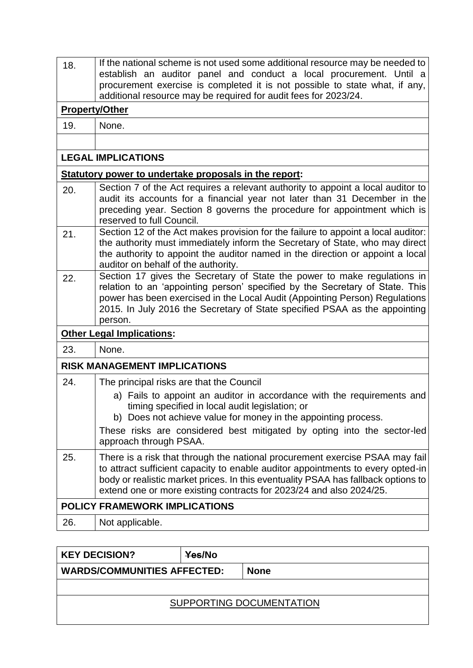| 18. | If the national scheme is not used some additional resource may be needed to<br>establish an auditor panel and conduct a local procurement. Until a<br>procurement exercise is completed it is not possible to state what, if any,<br>additional resource may be required for audit fees for 2023/24.                            |  |  |  |
|-----|----------------------------------------------------------------------------------------------------------------------------------------------------------------------------------------------------------------------------------------------------------------------------------------------------------------------------------|--|--|--|
|     | <b>Property/Other</b>                                                                                                                                                                                                                                                                                                            |  |  |  |
| 19. | None.                                                                                                                                                                                                                                                                                                                            |  |  |  |
|     |                                                                                                                                                                                                                                                                                                                                  |  |  |  |
|     | <b>LEGAL IMPLICATIONS</b>                                                                                                                                                                                                                                                                                                        |  |  |  |
|     | Statutory power to undertake proposals in the report:                                                                                                                                                                                                                                                                            |  |  |  |
| 20. | Section 7 of the Act requires a relevant authority to appoint a local auditor to<br>audit its accounts for a financial year not later than 31 December in the<br>preceding year. Section 8 governs the procedure for appointment which is<br>reserved to full Council.                                                           |  |  |  |
| 21. | Section 12 of the Act makes provision for the failure to appoint a local auditor:<br>the authority must immediately inform the Secretary of State, who may direct<br>the authority to appoint the auditor named in the direction or appoint a local<br>auditor on behalf of the authority.                                       |  |  |  |
| 22. | Section 17 gives the Secretary of State the power to make regulations in<br>relation to an 'appointing person' specified by the Secretary of State. This<br>power has been exercised in the Local Audit (Appointing Person) Regulations<br>2015. In July 2016 the Secretary of State specified PSAA as the appointing<br>person. |  |  |  |
|     | <b>Other Legal Implications:</b>                                                                                                                                                                                                                                                                                                 |  |  |  |
| 23. | None.                                                                                                                                                                                                                                                                                                                            |  |  |  |
|     | <b>RISK MANAGEMENT IMPLICATIONS</b>                                                                                                                                                                                                                                                                                              |  |  |  |
| 24. | The principal risks are that the Council                                                                                                                                                                                                                                                                                         |  |  |  |
|     | a) Fails to appoint an auditor in accordance with the requirements and<br>timing specified in local audit legislation; or<br>b) Does not achieve value for money in the appointing process.                                                                                                                                      |  |  |  |
|     | These risks are considered best mitigated by opting into the sector-led<br>approach through PSAA.                                                                                                                                                                                                                                |  |  |  |
| 25. | There is a risk that through the national procurement exercise PSAA may fail<br>to attract sufficient capacity to enable auditor appointments to every opted-in<br>body or realistic market prices. In this eventuality PSAA has fallback options to<br>extend one or more existing contracts for 2023/24 and also 2024/25.      |  |  |  |
|     | <b>POLICY FRAMEWORK IMPLICATIONS</b>                                                                                                                                                                                                                                                                                             |  |  |  |
| 26. | Not applicable.                                                                                                                                                                                                                                                                                                                  |  |  |  |
|     |                                                                                                                                                                                                                                                                                                                                  |  |  |  |

| <b>KEY DECISION?</b>               | <b>Yes/No</b> |             |  |  |
|------------------------------------|---------------|-------------|--|--|
| <b>WARDS/COMMUNITIES AFFECTED:</b> |               | <b>None</b> |  |  |
|                                    |               |             |  |  |
| SUPPORTING DOCUMENTATION           |               |             |  |  |